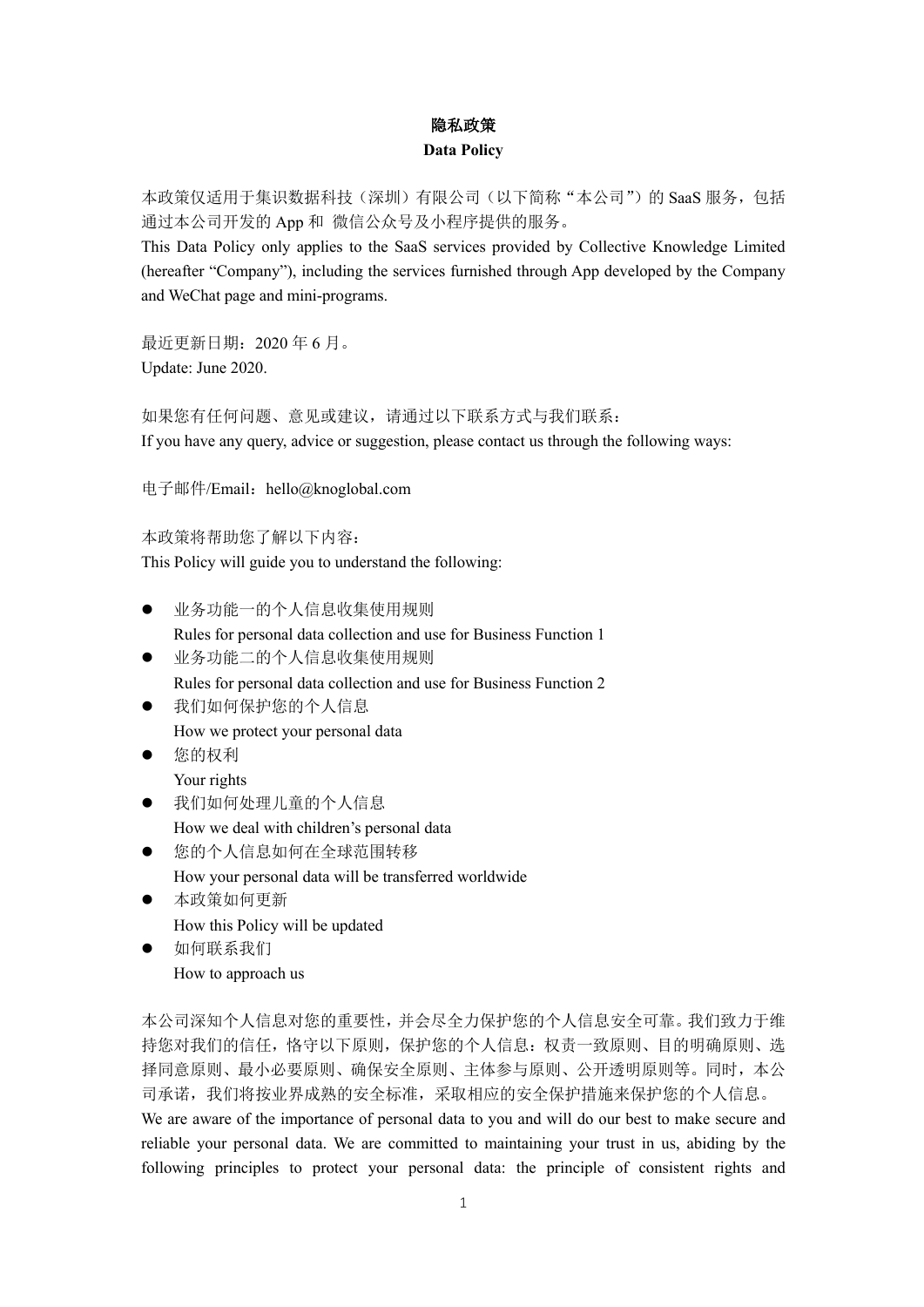# 隐私政策

### **Data Policy**

本政策仅适用于集识数据科技(深圳)有限公司(以下简称"本公司")的 SaaS 服务,包括 通过本公司开发的 App 和 微信公众号及小程序提供的服务。

This Data Policy only applies to the SaaS services provided by Collective Knowledge Limited (hereafter "Company"), including the services furnished through App developed by the Company and WeChat page and mini-programs.

最近更新日期:2020 年 6 月。 Update: June 2020.

如果您有任何问题、意见或建议,请通过以下联系方式与我们联系: If you have any query, advice or suggestion, please contact us through the following ways:

电子邮件/Email: hello@knoglobal.com

本政策将帮助您了解以下内容:

This Policy will guide you to understand the following:

- l 业务功能一的个人信息收集使用规则 Rules for personal data collection and use for Business Function 1
- l 业务功能二的个人信息收集使用规则 Rules for personal data collection and use for Business Function 2
- 我们如何保护您的个人信息
- How we protect your personal data
- 您的权利

Your rights

- l 我们如何处理儿童的个人信息 How we deal with children's personal data
- l 您的个人信息如何在全球范围转移 How your personal data will be transferred worldwide
- l 本政策如何更新 How this Policy will be updated
- l 如何联系我们 How to approach us

本公司深知个人信息对您的重要性,并会尽全力保护您的个人信息安全可靠。我们致力于维 持您对我们的信任,恪守以下原则,保护您的个人信息:权责一致原则、目的明确原则、选 择同意原则、最小必要原则、确保安全原则、主体参与原则、公开透明原则等。同时,本公 司承诺,我们将按业界成熟的安全标准,采取相应的安全保护措施来保护您的个人信息。 We are aware of the importance of personal data to you and will do our best to make secure and reliable your personal data. We are committed to maintaining your trust in us, abiding by the following principles to protect your personal data: the principle of consistent rights and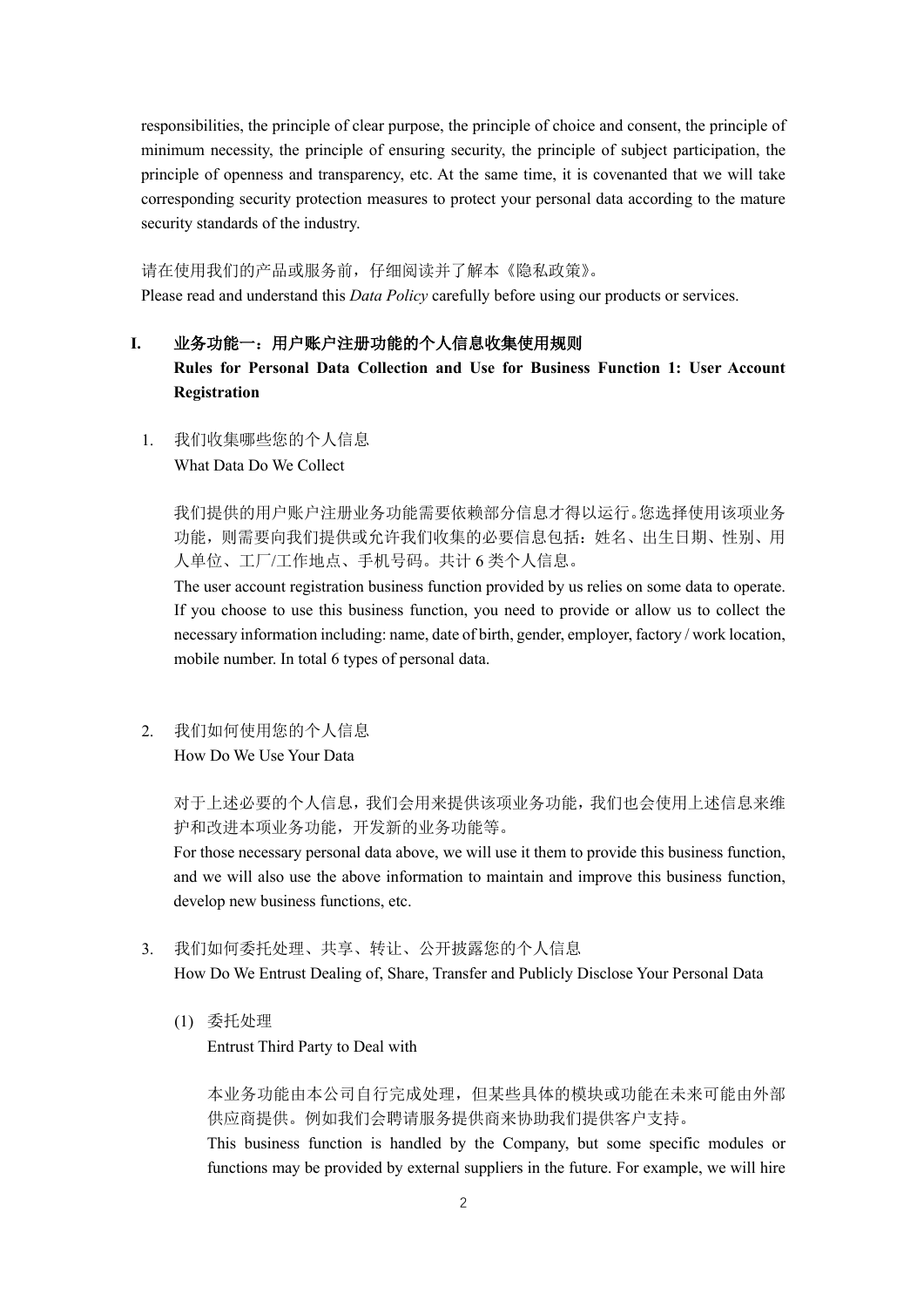responsibilities, the principle of clear purpose, the principle of choice and consent, the principle of minimum necessity, the principle of ensuring security, the principle of subject participation, the principle of openness and transparency, etc. At the same time, it is covenanted that we will take corresponding security protection measures to protect your personal data according to the mature security standards of the industry.

#### 请在使用我们的产品或服务前,仔细阅读并了解本《隐私政策》。

Please read and understand this *Data Policy* carefully before using our products or services.

#### I. 业务功能一:用户账户注册功能的个人信息收集使用规则

**Rules for Personal Data Collection and Use for Business Function 1: User Account Registration**

1. 我们收集哪些您的个人信息 What Data Do We Collect

> 我们提供的用户账户注册业务功能需要依赖部分信息才得以运行。您选择使用该项业务 功能,则需要向我们提供或允许我们收集的必要信息包括: 姓名、出生日期、性别、用 人单位、工厂/工作地点、手机号码。共计 6 类个人信息。

> The user account registration business function provided by us relies on some data to operate. If you choose to use this business function, you need to provide or allow us to collect the necessary information including: name, date of birth, gender, employer, factory / work location, mobile number. In total 6 types of personal data.

2. 我们如何使用您的个人信息 How Do We Use Your Data

> 对于上述必要的个人信息,我们会用来提供该项业务功能,我们也会使用上述信息来维 护和改进本项业务功能,开发新的业务功能等。

> For those necessary personal data above, we will use it them to provide this business function, and we will also use the above information to maintain and improve this business function, develop new business functions, etc.

- 3. 我们如何委托处理、共享、转让、公开披露您的个人信息 How Do We Entrust Dealing of, Share, Transfer and Publicly Disclose Your Personal Data
	- (1) 委托处理

Entrust Third Party to Deal with

本业务功能由本公司自行完成处理,但某些具体的模块或功能在未来可能由外部 供应商提供。例如我们会聘请服务提供商来协助我们提供客户支持。 This business function is handled by the Company, but some specific modules or functions may be provided by external suppliers in the future. For example, we will hire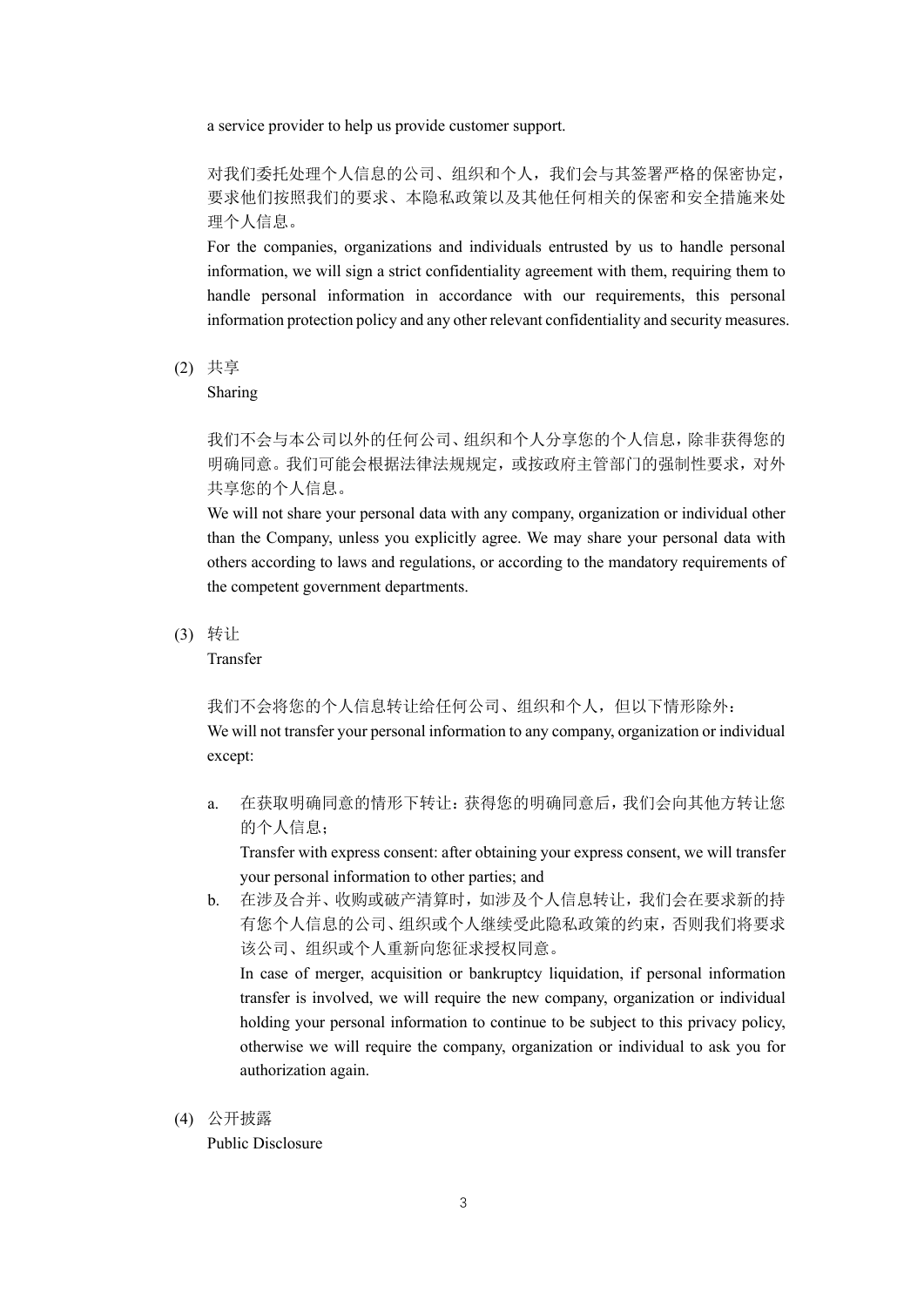a service provider to help us provide customer support.

对我们委托处理个人信息的公司、组织和个人,我们会与其签署严格的保密协定, 要求他们按照我们的要求、本隐私政策以及其他任何相关的保密和安全措施来处 理个人信息。

For the companies, organizations and individuals entrusted by us to handle personal information, we will sign a strict confidentiality agreement with them, requiring them to handle personal information in accordance with our requirements, this personal information protection policy and any other relevant confidentiality and security measures.

(2) 共享

Sharing

我们不会与本公司以外的任何公司、组织和个人分享您的个人信息,除非获得您的 明确同意。我们可能会根据法律法规规定,或按政府主管部门的强制性要求,对外 共享您的个人信息。

We will not share your personal data with any company, organization or individual other than the Company, unless you explicitly agree. We may share your personal data with others according to laws and regulations, or according to the mandatory requirements of the competent government departments.

(3) 转让

Transfer

我们不会将您的个人信息转让给任何公司、组织和个人,但以下情形除外:

We will not transfer your personal information to any company, organization or individual except:

a. 在获取明确同意的情形下转让:获得您的明确同意后,我们会向其他方转让您 的个人信息;

Transfer with express consent: after obtaining your express consent, we will transfer your personal information to other parties; and

b. 在涉及合并、收购或破产清算时,如涉及个人信息转让,我们会在要求新的持 有您个人信息的公司、组织或个人继续受此隐私政策的约束,否则我们将要求 该公司、组织或个人重新向您征求授权同意。

In case of merger, acquisition or bankruptcy liquidation, if personal information transfer is involved, we will require the new company, organization or individual holding your personal information to continue to be subject to this privacy policy, otherwise we will require the company, organization or individual to ask you for authorization again.

(4) 公开披露

Public Disclosure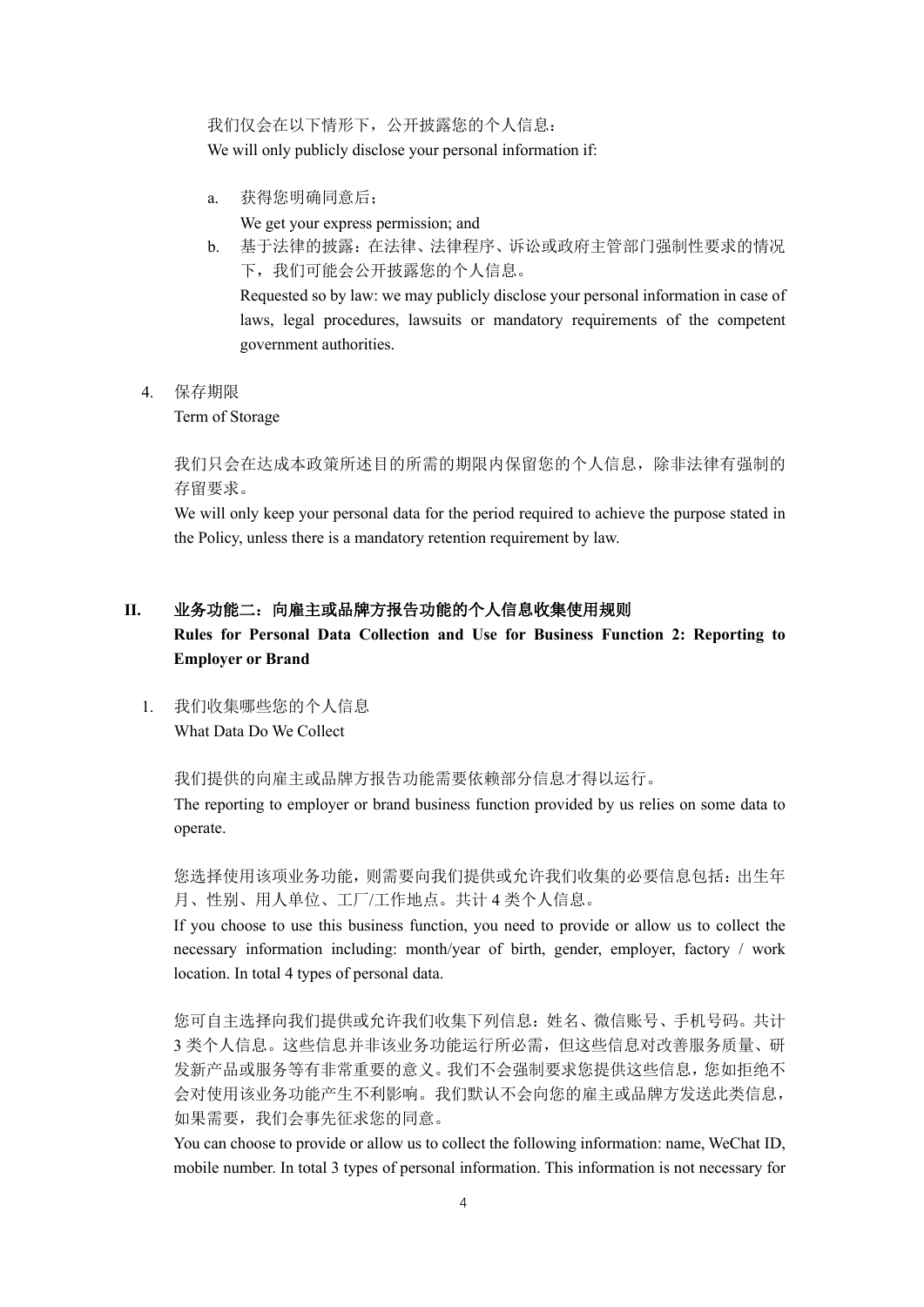我们仅会在以下情形下,公开披露您的个人信息: We will only publicly disclose your personal information if:

a. 获得您明确同意后;

We get your express permission; and

b. 基于法律的披露:在法律、法律程序、诉讼或政府主管部门强制性要求的情况 下,我们可能会公开披露您的个人信息。

Requested so by law: we may publicly disclose your personal information in case of laws, legal procedures, lawsuits or mandatory requirements of the competent government authorities.

4. 保存期限

Term of Storage

我们只会在达成本政策所述目的所需的期限内保留您的个人信息,除非法律有强制的 存留要求。

We will only keep your personal data for the period required to achieve the purpose stated in the Policy, unless there is a mandatory retention requirement by law.

## **II.** 业务功能二:向雇主或品牌方报告功能的个人信息收集使用规则

## **Rules for Personal Data Collection and Use for Business Function 2: Reporting to Employer or Brand**

1. 我们收集哪些您的个人信息 What Data Do We Collect

我们提供的向雇主或品牌方报告功能需要依赖部分信息才得以运行。

The reporting to employer or brand business function provided by us relies on some data to operate.

您选择使用该项业务功能,则需要向我们提供或允许我们收集的必要信息包括:出生年 月、性别、用人单位、工厂/工作地点。共计 4 类个人信息。

If you choose to use this business function, you need to provide or allow us to collect the necessary information including: month/year of birth, gender, employer, factory / work location. In total 4 types of personal data.

您可自主选择向我们提供或允许我们收集下列信息:姓名、微信账号、手机号码。共计 3 类个人信息。这些信息并非该业务功能运行所必需,但这些信息对改善服务质量、研 发新产品或服务等有非常重要的意义。我们不会强制要求您提供这些信息,您如拒绝不 会对使用该业务功能产生不利影响。我们默认不会向您的雇主或品牌方发送此类信息, 如果需要,我们会事先征求您的同意。

You can choose to provide or allow us to collect the following information: name, WeChat ID, mobile number. In total 3 types of personal information. This information is not necessary for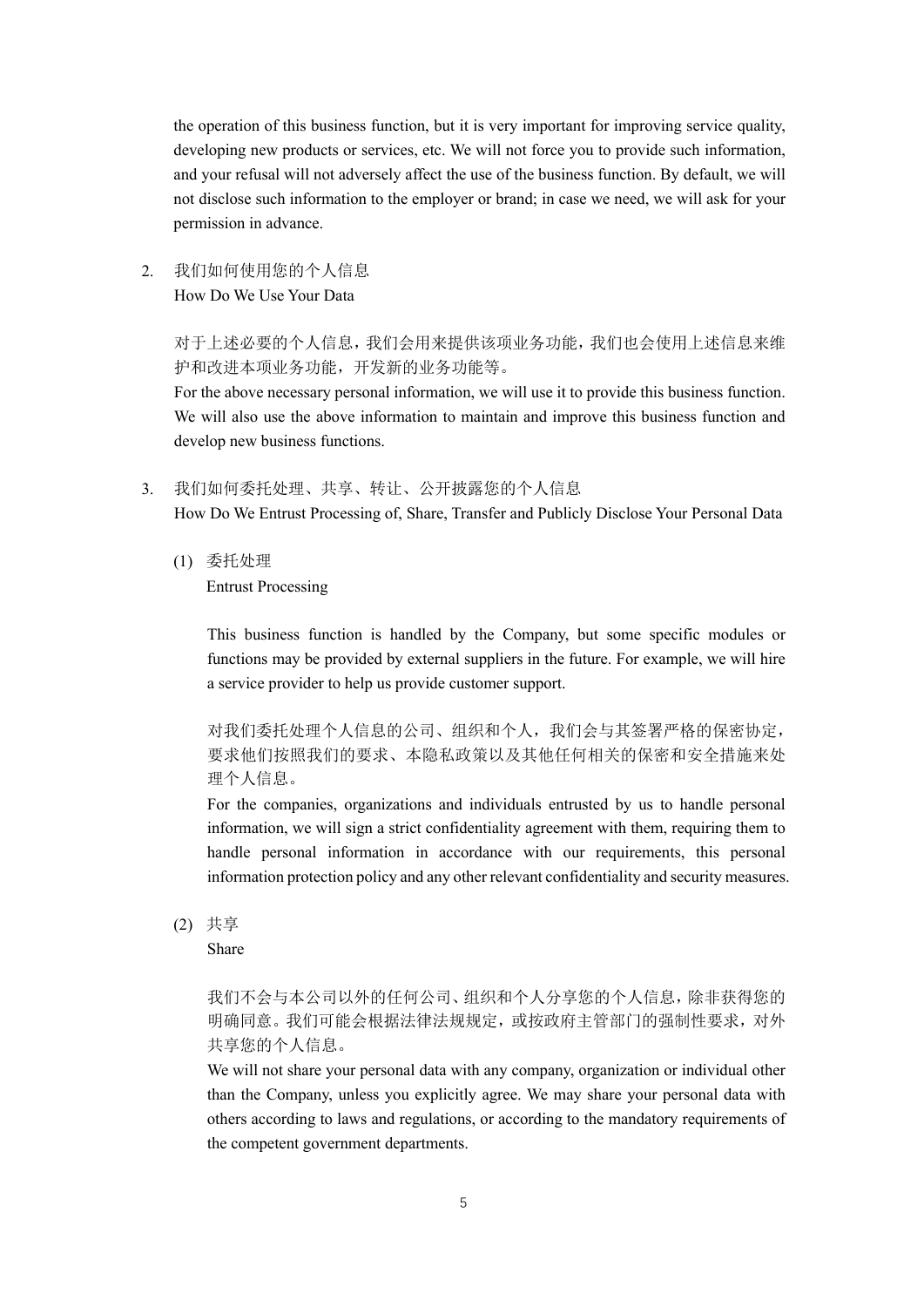the operation of this business function, but it is very important for improving service quality, developing new products or services, etc. We will not force you to provide such information, and your refusal will not adversely affect the use of the business function. By default, we will not disclose such information to the employer or brand; in case we need, we will ask for your permission in advance.

2. 我们如何使用您的个人信息 How Do We Use Your Data

> 对于上述必要的个人信息,我们会用来提供该项业务功能,我们也会使用上述信息来维 护和改进本项业务功能,开发新的业务功能等。

> For the above necessary personal information, we will use it to provide this business function. We will also use the above information to maintain and improve this business function and develop new business functions.

- 3. 我们如何委托处理、共享、转让、公开披露您的个人信息 How Do We Entrust Processing of, Share, Transfer and Publicly Disclose Your Personal Data
	- (1) 委托处理

Entrust Processing

This business function is handled by the Company, but some specific modules or functions may be provided by external suppliers in the future. For example, we will hire a service provider to help us provide customer support.

对我们委托处理个人信息的公司、组织和个人,我们会与其签署严格的保密协定, 要求他们按照我们的要求、本隐私政策以及其他任何相关的保密和安全措施来处 理个人信息。

For the companies, organizations and individuals entrusted by us to handle personal information, we will sign a strict confidentiality agreement with them, requiring them to handle personal information in accordance with our requirements, this personal information protection policy and any other relevant confidentiality and security measures.

(2) 共享

Share

我们不会与本公司以外的任何公司、组织和个人分享您的个人信息,除非获得您的 明确同意。我们可能会根据法律法规规定,或按政府主管部门的强制性要求,对外 共享您的个人信息。

We will not share your personal data with any company, organization or individual other than the Company, unless you explicitly agree. We may share your personal data with others according to laws and regulations, or according to the mandatory requirements of the competent government departments.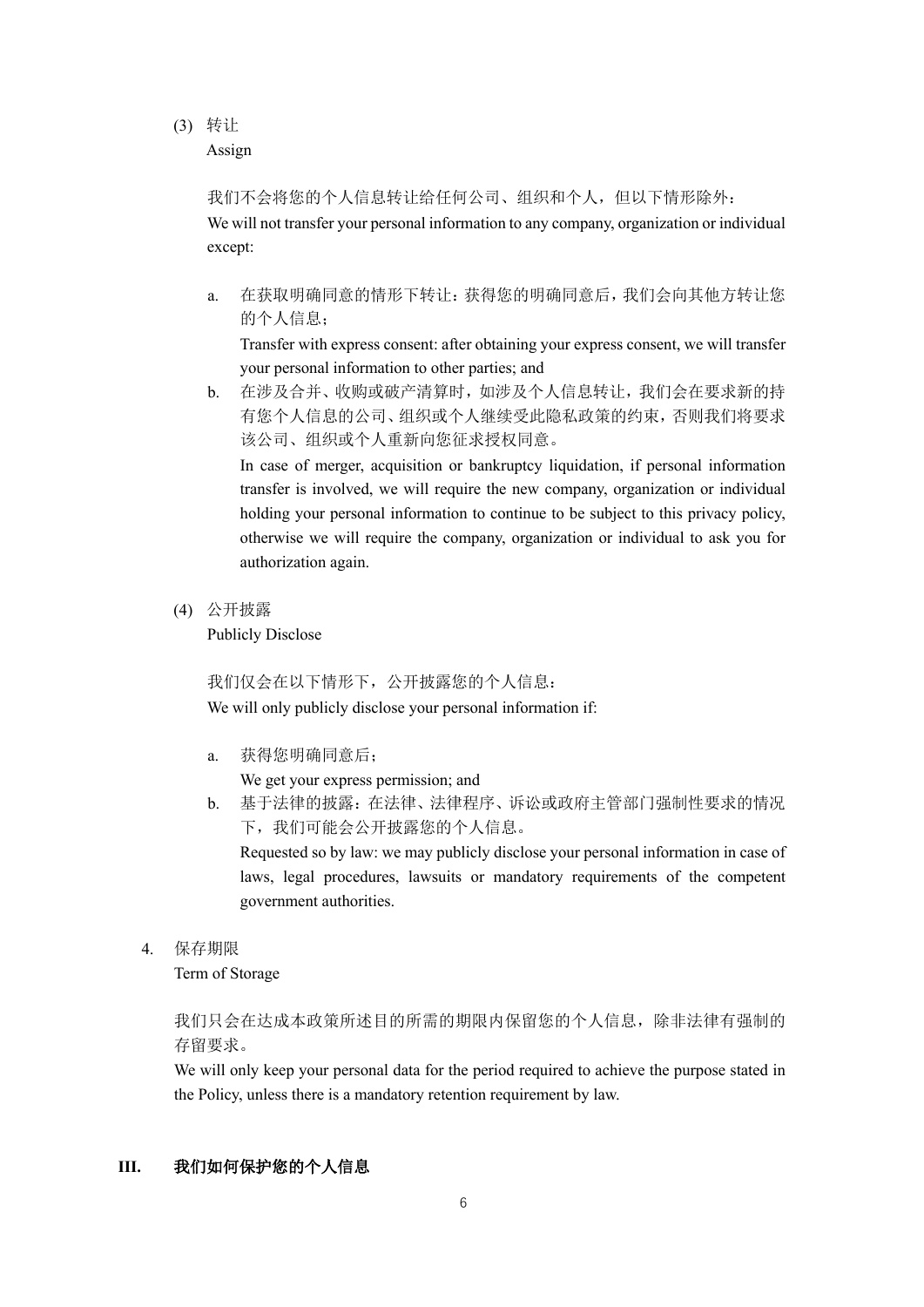### (3) 转让

Assign

我们不会将您的个人信息转让给任何公司、组织和个人,但以下情形除外: We will not transfer your personal information to any company, organization or individual except:

a. 在获取明确同意的情形下转让:获得您的明确同意后,我们会向其他方转让您 的个人信息;

Transfer with express consent: after obtaining your express consent, we will transfer your personal information to other parties; and

b. 在涉及合并、收购或破产清算时,如涉及个人信息转让,我们会在要求新的持 有您个人信息的公司、组织或个人继续受此隐私政策的约束,否则我们将要求 该公司、组织或个人重新向您征求授权同意。

In case of merger, acquisition or bankruptcy liquidation, if personal information transfer is involved, we will require the new company, organization or individual holding your personal information to continue to be subject to this privacy policy, otherwise we will require the company, organization or individual to ask you for authorization again.

(4) 公开披露

Publicly Disclose

我们仅会在以下情形下,公开披露您的个人信息: We will only publicly disclose your personal information if:

a. 获得您明确同意后;

We get your express permission; and

b. 基于法律的披露:在法律、法律程序、诉讼或政府主管部门强制性要求的情况 下,我们可能会公开披露您的个人信息。

Requested so by law: we may publicly disclose your personal information in case of laws, legal procedures, lawsuits or mandatory requirements of the competent government authorities.

4. 保存期限

Term of Storage

我们只会在达成本政策所述目的所需的期限内保留您的个人信息,除非法律有强制的 存留要求。

We will only keep your personal data for the period required to achieve the purpose stated in the Policy, unless there is a mandatory retention requirement by law.

### **III.** 我们如何保护您的个人信息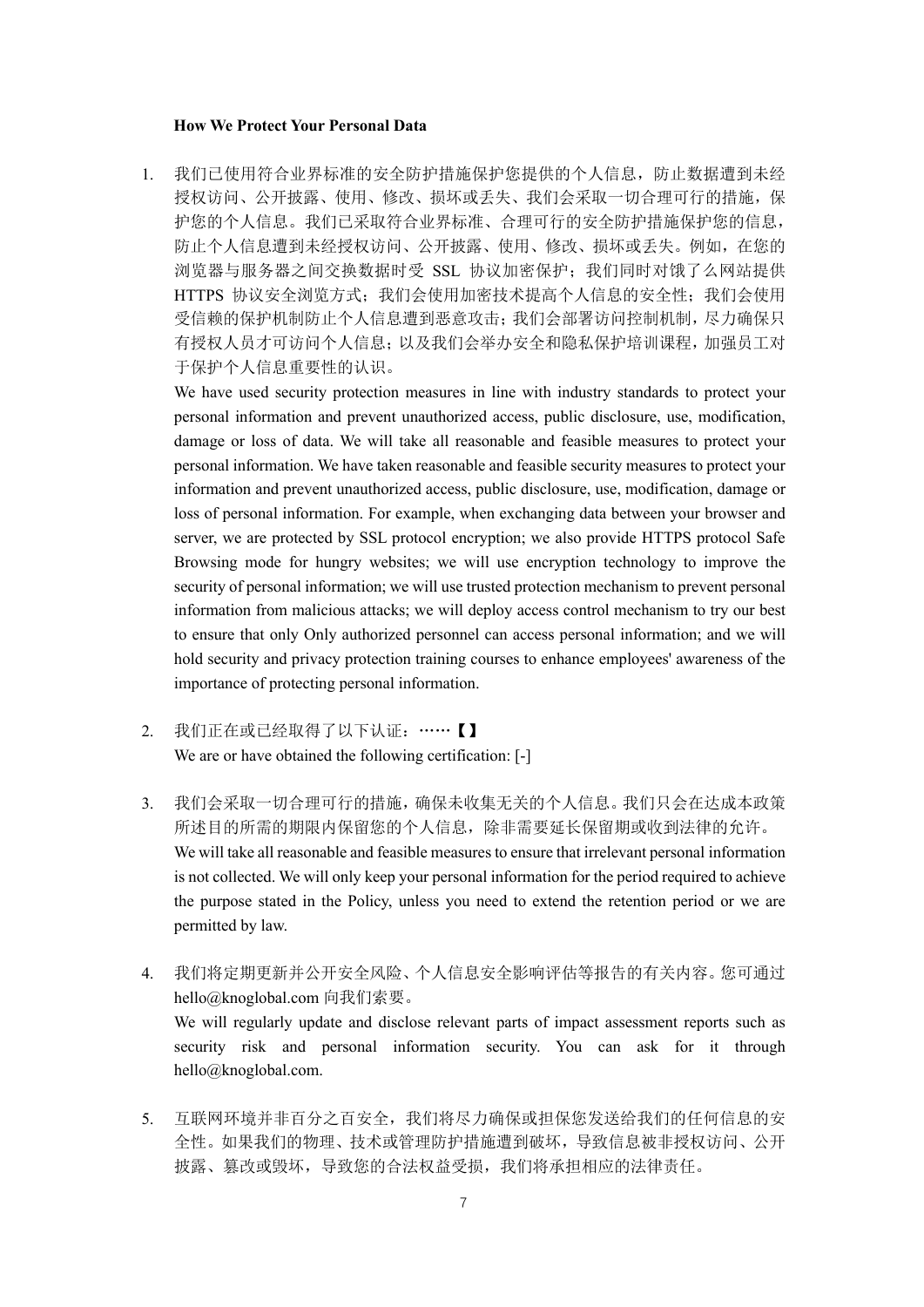#### **How We Protect Your Personal Data**

1. 我们已使用符合业界标准的安全防护措施保护您提供的个人信息,防止数据遭到未经 授权访问、公开披露、使用、修改、损坏或丢失、我们会采取一切合理可行的措施,保 护您的个人信息。我们已采取符合业界标准、合理可行的安全防护措施保护您的信息, 防止个人信息遭到未经授权访问、公开披露、使用、修改、损坏或丢失。例如,在您的 浏览器与服务器之间交换数据时受 SSL 协议加密保护;我们同时对饿了么网站提供 HTTPS 协议安全浏览方式; 我们会使用加密技术提高个人信息的安全性; 我们会使用 受信赖的保护机制防止个人信息遭到恶意攻击;我们会部署访问控制机制,尽力确保只 有授权人员才可访问个人信息;以及我们会举办安全和隐私保护培训课程,加强员工对 于保护个人信息重要性的认识。

We have used security protection measures in line with industry standards to protect your personal information and prevent unauthorized access, public disclosure, use, modification, damage or loss of data. We will take all reasonable and feasible measures to protect your personal information. We have taken reasonable and feasible security measures to protect your information and prevent unauthorized access, public disclosure, use, modification, damage or loss of personal information. For example, when exchanging data between your browser and server, we are protected by SSL protocol encryption; we also provide HTTPS protocol Safe Browsing mode for hungry websites; we will use encryption technology to improve the security of personal information; we will use trusted protection mechanism to prevent personal information from malicious attacks; we will deploy access control mechanism to try our best to ensure that only Only authorized personnel can access personal information; and we will hold security and privacy protection training courses to enhance employees' awareness of the importance of protecting personal information.

- 2. 我们正在或已经取得了以下认证:……【】 We are or have obtained the following certification: [-]
- 3. 我们会采取一切合理可行的措施,确保未收集无关的个人信息。我们只会在达成本政策 所述目的所需的期限内保留您的个人信息,除非需要延长保留期或收到法律的允许。 We will take all reasonable and feasible measures to ensure that irrelevant personal information is not collected. We will only keep your personal information for the period required to achieve the purpose stated in the Policy, unless you need to extend the retention period or we are permitted by law.
- 4. 我们将定期更新并公开安全风险、个人信息安全影响评估等报告的有关内容。您可通过 hello@knoglobal.com 向我们索要。 We will regularly update and disclose relevant parts of impact assessment reports such as security risk and personal information security. You can ask for it through hello@knoglobal.com.
- 5. 互联网环境并非百分之百安全,我们将尽力确保或担保您发送给我们的任何信息的安 全性。如果我们的物理、技术或管理防护措施遭到破坏,导致信息被非授权访问、公开 披露、篡改或毁坏,导致您的合法权益受损,我们将承担相应的法律责任。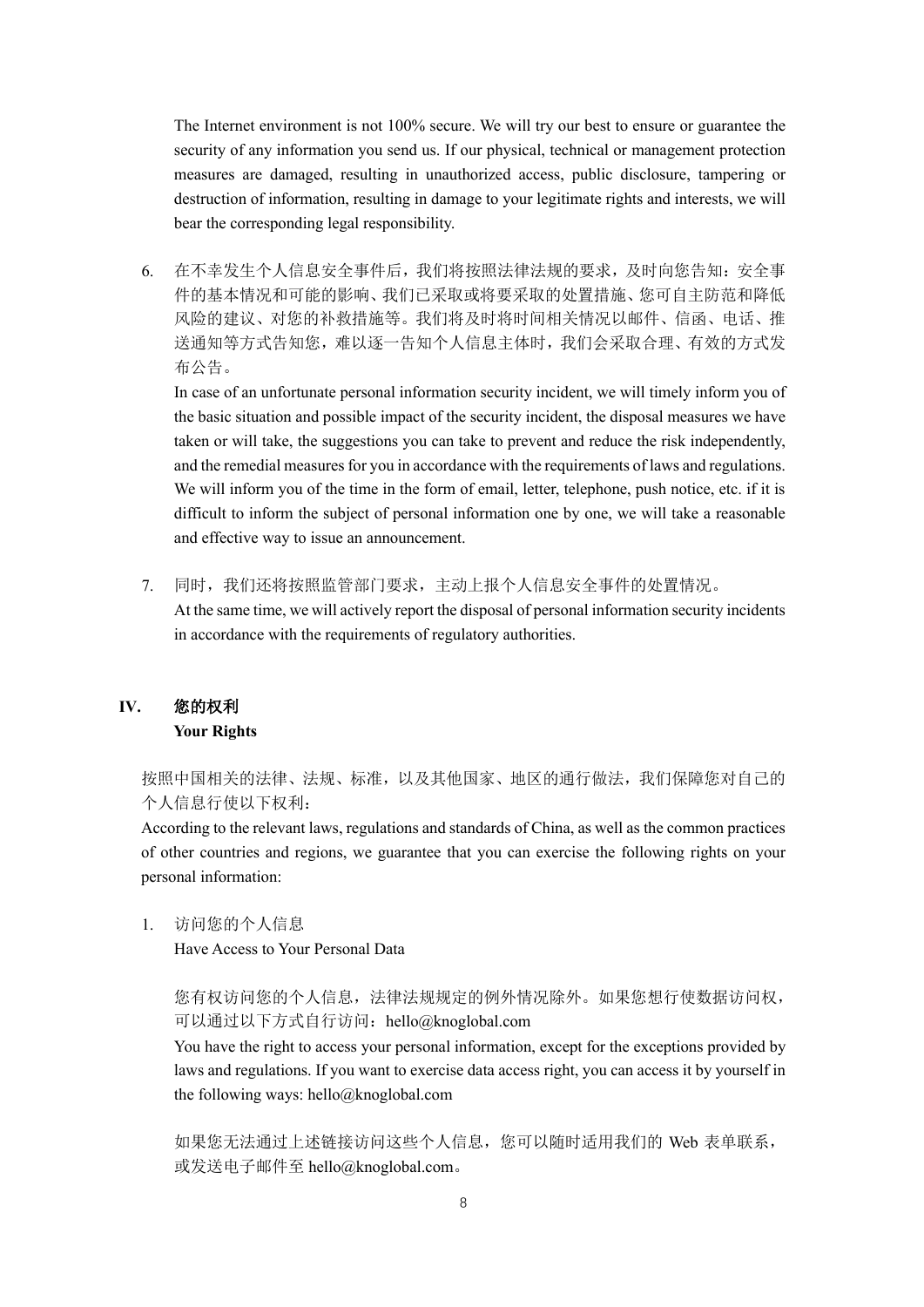The Internet environment is not 100% secure. We will try our best to ensure or guarantee the security of any information you send us. If our physical, technical or management protection measures are damaged, resulting in unauthorized access, public disclosure, tampering or destruction of information, resulting in damage to your legitimate rights and interests, we will bear the corresponding legal responsibility.

6. 在不幸发生个人信息安全事件后,我们将按照法律法规的要求,及时向您告知:安全事 件的基本情况和可能的影响、我们已采取或将要采取的处置措施、您可自主防范和降低 风险的建议、对您的补救措施等。我们将及时将时间相关情况以邮件、信函、电话、推 送通知等方式告知您,难以逐一告知个人信息主体时,我们会采取合理、有效的方式发 布公告。

In case of an unfortunate personal information security incident, we will timely inform you of the basic situation and possible impact of the security incident, the disposal measures we have taken or will take, the suggestions you can take to prevent and reduce the risk independently, and the remedial measures for you in accordance with the requirements of laws and regulations. We will inform you of the time in the form of email, letter, telephone, push notice, etc. if it is difficult to inform the subject of personal information one by one, we will take a reasonable and effective way to issue an announcement.

7. 同时,我们还将按照监管部门要求,主动上报个人信息安全事件的处置情况。 At the same time, we will actively report the disposal of personal information security incidents in accordance with the requirements of regulatory authorities.

## **IV.** 您的权利 **Your Rights**

按照中国相关的法律、法规、标准,以及其他国家、地区的通行做法,我们保障您对自己的 个人信息行使以下权利:

According to the relevant laws, regulations and standards of China, as well as the common practices of other countries and regions, we guarantee that you can exercise the following rights on your personal information:

1. 访问您的个人信息

Have Access to Your Personal Data

## 您有权访问您的个人信息,法律法规规定的例外情况除外。如果您想行使数据访问权, 可以通过以下方式自行访问: hello@knoglobal.com

You have the right to access your personal information, except for the exceptions provided by laws and regulations. If you want to exercise data access right, you can access it by yourself in the following ways: hello@knoglobal.com

如果您无法通过上述链接访问这些个人信息,您可以随时适用我们的 Web 表单联系, 或发送电子邮件至 hello@knoglobal.com。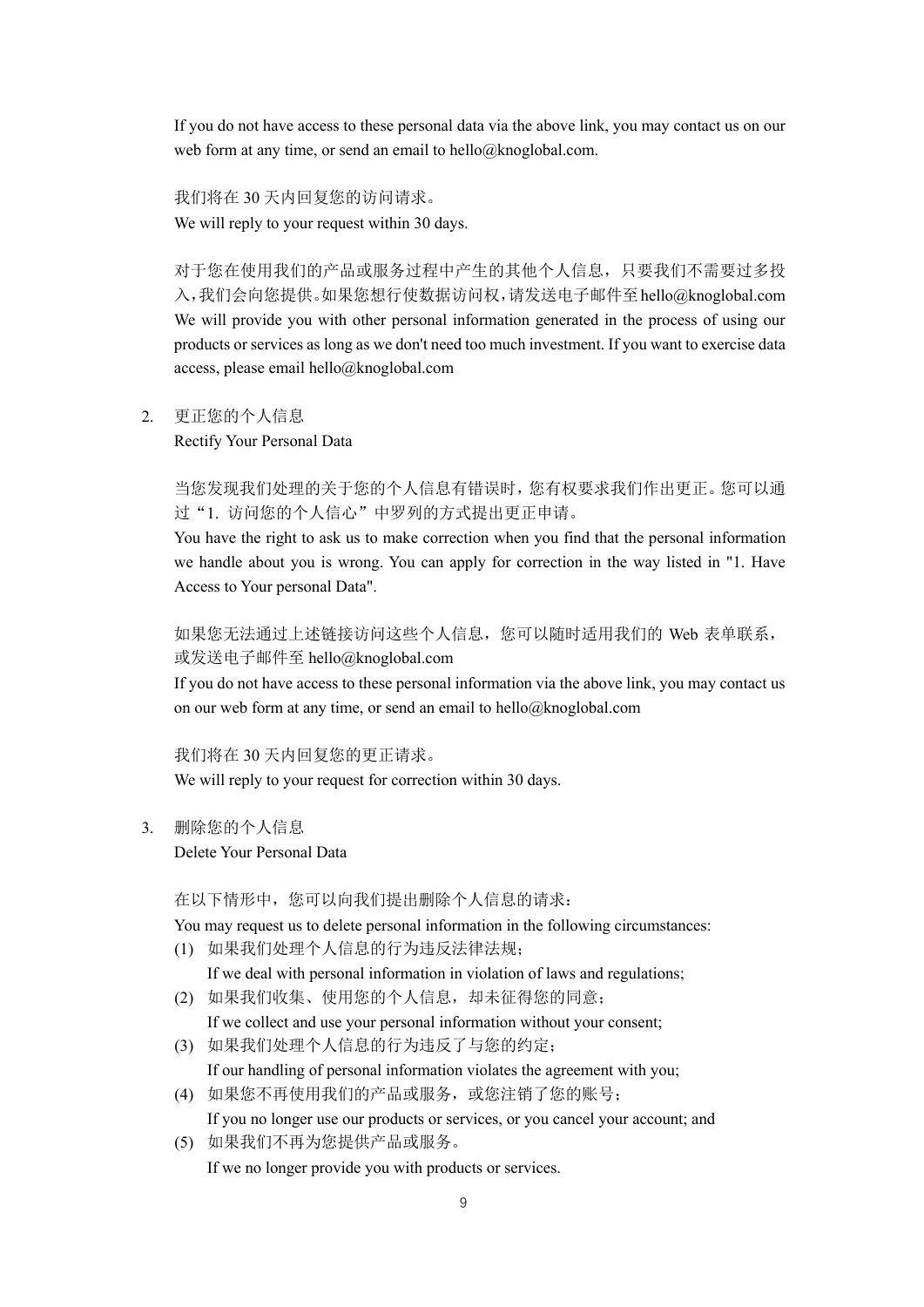If you do not have access to these personal data via the above link, you may contact us on our web form at any time, or send an email to hello@knoglobal.com.

我们将在 30 天内回复您的访问请求。 We will reply to your request within 30 days.

对于您在使用我们的产品或服务过程中产生的其他个人信息,只要我们不需要过多投 入,我们会向您提供。如果您想行使数据访问权,请发送电子邮件至hello@knoglobal.com We will provide you with other personal information generated in the process of using our products or services as long as we don't need too much investment. If you want to exercise data access, please email hello@knoglobal.com

2. 更正您的个人信息

Rectify Your Personal Data

当您发现我们处理的关于您的个人信息有错误时,您有权要求我们作出更正。您可以通 过"1. 访问您的个人信心"中罗列的方式提出更正申请。

You have the right to ask us to make correction when you find that the personal information we handle about you is wrong. You can apply for correction in the way listed in "1. Have Access to Your personal Data".

如果您无法通过上述链接访问这些个人信息,您可以随时适用我们的 Web 表单联系, 或发送电子邮件至 hello@knoglobal.com

If you do not have access to these personal information via the above link, you may contact us on our web form at any time, or send an email to hello@knoglobal.com

我们将在 30 天内回复您的更正请求。 We will reply to your request for correction within 30 days.

3. 删除您的个人信息

Delete Your Personal Data

在以下情形中,您可以向我们提出删除个人信息的请求:

You may request us to delete personal information in the following circumstances: (1) 如果我们处理个人信息的行为违反法律法规;

If we deal with personal information in violation of laws and regulations;

(2) 如果我们收集、使用您的个人信息,却未征得您的同意;

If we collect and use your personal information without your consent;

(3) 如果我们处理个人信息的行为违反了与您的约定;

If our handling of personal information violates the agreement with you;

- (4) 如果您不再使用我们的产品或服务,或您注销了您的账号; If you no longer use our products or services, or you cancel your account; and
- (5) 如果我们不再为您提供产品或服务。 If we no longer provide you with products or services.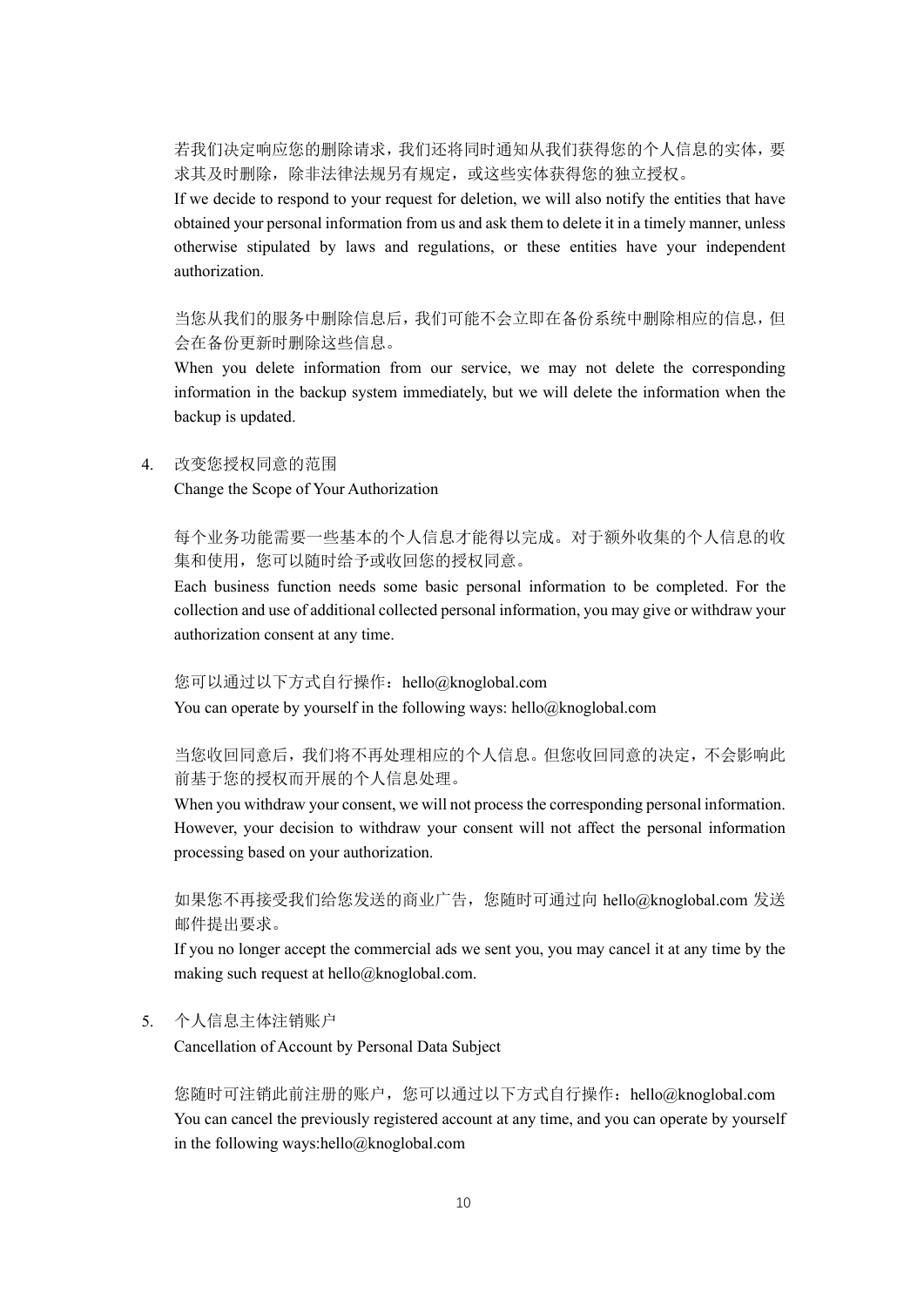若我们决定响应您的删除请求,我们还将同时通知从我们获得您的个人信息的实体,要 求其及时删除,除非法律法规另有规定,或这些实体获得您的独立授权。

If we decide to respond to your request for deletion, we will also notify the entities that have obtained your personal information from us and ask them to delete it in a timely manner, unless otherwise stipulated by laws and regulations, or these entities have your independent authorization.

当您从我们的服务中删除信息后,我们可能不会立即在备份系统中删除相应的信息,但 会在备份更新时删除这些信息。

When you delete information from our service, we may not delete the corresponding information in the backup system immediately, but we will delete the information when the backup is updated.

4. 改变您授权同意的范围

Change the Scope of Your Authorization

每个业务功能需要一些基本的个人信息才能得以完成。对于额外收集的个人信息的收 集和使用,您可以随时给予或收回您的授权同意。

Each business function needs some basic personal information to be completed. For the collection and use of additional collected personal information, you may give or withdraw your authorization consent at any time.

您可以通过以下方式自行操作: hello@knoglobal.com

You can operate by yourself in the following ways: hello@knoglobal.com

当您收回同意后,我们将不再处理相应的个人信息。但您收回同意的决定,不会影响此 前基于您的授权而开展的个人信息处理。

When you withdraw your consent, we will not process the corresponding personal information. However, your decision to withdraw your consent will not affect the personal information processing based on your authorization.

如果您不再接受我们给您发送的商业广告,您随时可通过向 hello@knoglobal.com 发送 邮件提出要求。

If you no longer accept the commercial ads we sent you, you may cancel it at any time by the making such request at hello@knoglobal.com.

### 5. 个人信息主体注销账户

Cancellation of Account by Personal Data Subject

您随时可注销此前注册的账户,您可以通过以下方式自行操作:hello@knoglobal.com You can cancel the previously registered account at any time, and you can operate by yourself in the following ways:hello@knoglobal.com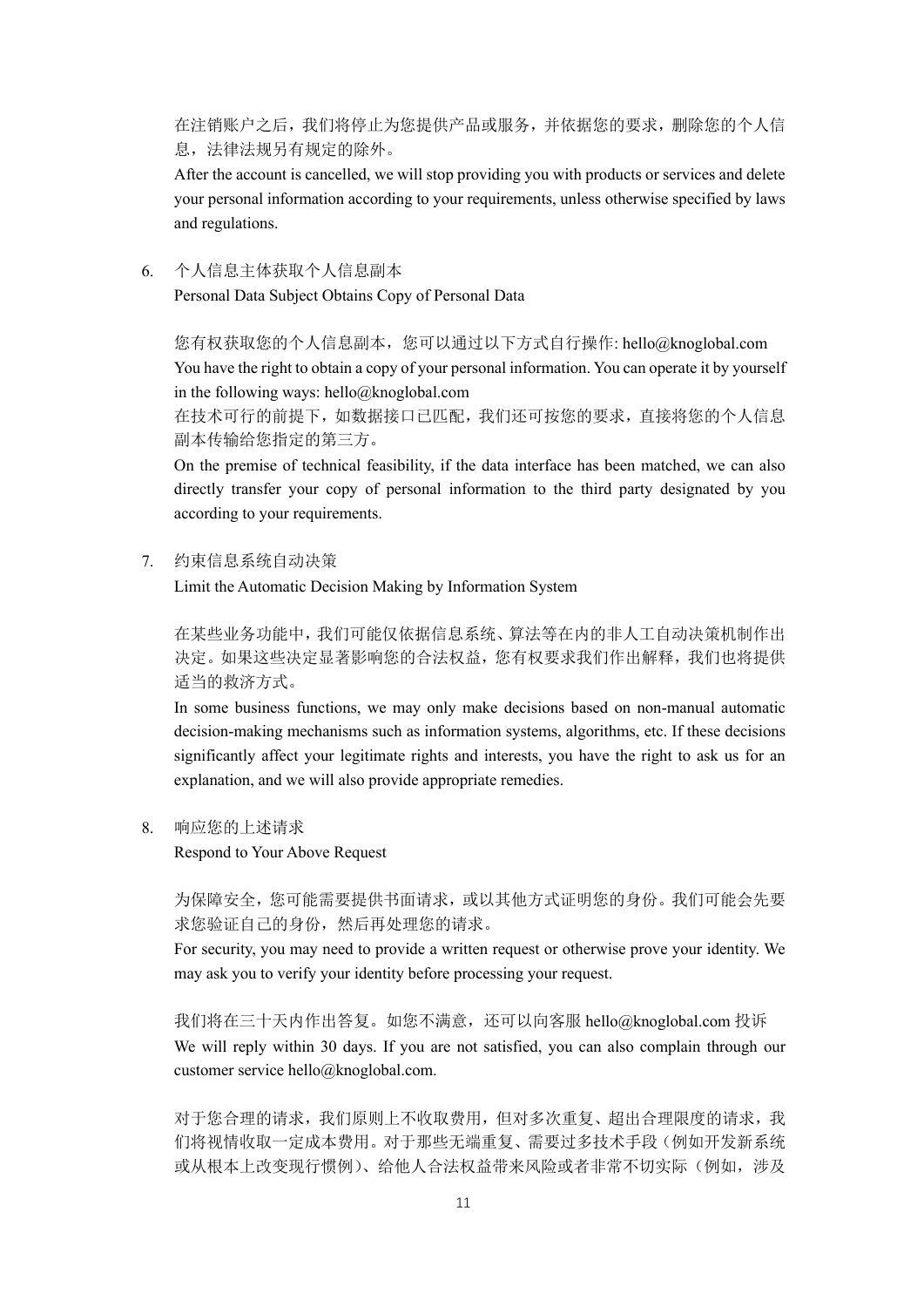在注销账户之后,我们将停止为您提供产品或服务,并依据您的要求,删除您的个人信 息,法律法规另有规定的除外。

After the account is cancelled, we will stop providing you with products or services and delete your personal information according to your requirements, unless otherwise specified by laws and regulations.

6. 个人信息主体获取个人信息副本 Personal Data Subject Obtains Copy of Personal Data

您有权获取您的个人信息副本,您可以通过以下方式自行操作: hello@knoglobal.com You have the right to obtain a copy of your personal information. You can operate it by yourself in the following ways: hello@knoglobal.com

在技术可行的前提下,如数据接口已匹配,我们还可按您的要求,直接将您的个人信息 副本传输给您指定的第三方。

On the premise of technical feasibility, if the data interface has been matched, we can also directly transfer your copy of personal information to the third party designated by you according to your requirements.

7. 约束信息系统自动决策

Limit the Automatic Decision Making by Information System

在某些业务功能中,我们可能仅依据信息系统、算法等在内的非人工自动决策机制作出 决定。如果这些决定显著影响您的合法权益,您有权要求我们作出解释,我们也将提供 适当的救济方式。

In some business functions, we may only make decisions based on non-manual automatic decision-making mechanisms such as information systems, algorithms, etc. If these decisions significantly affect your legitimate rights and interests, you have the right to ask us for an explanation, and we will also provide appropriate remedies.

8. 响应您的上述请求

Respond to Your Above Request

为保障安全,您可能需要提供书面请求,或以其他方式证明您的身份。我们可能会先要 求您验证自己的身份,然后再处理您的请求。

For security, you may need to provide a written request or otherwise prove your identity. We may ask you to verify your identity before processing your request.

我们将在三十天内作出答复。如您不满意,还可以向客服 hello@knoglobal.com 投诉 We will reply within 30 days. If you are not satisfied, you can also complain through our customer service hello@knoglobal.com.

对于您合理的请求,我们原则上不收取费用,但对多次重复、超出合理限度的请求,我 们将视情收取一定成本费用。对于那些无端重复、需要过多技术手段(例如开发新系统 或从根本上改变现行惯例)、给他人合法权益带来风险或者非常不切实际(例如,涉及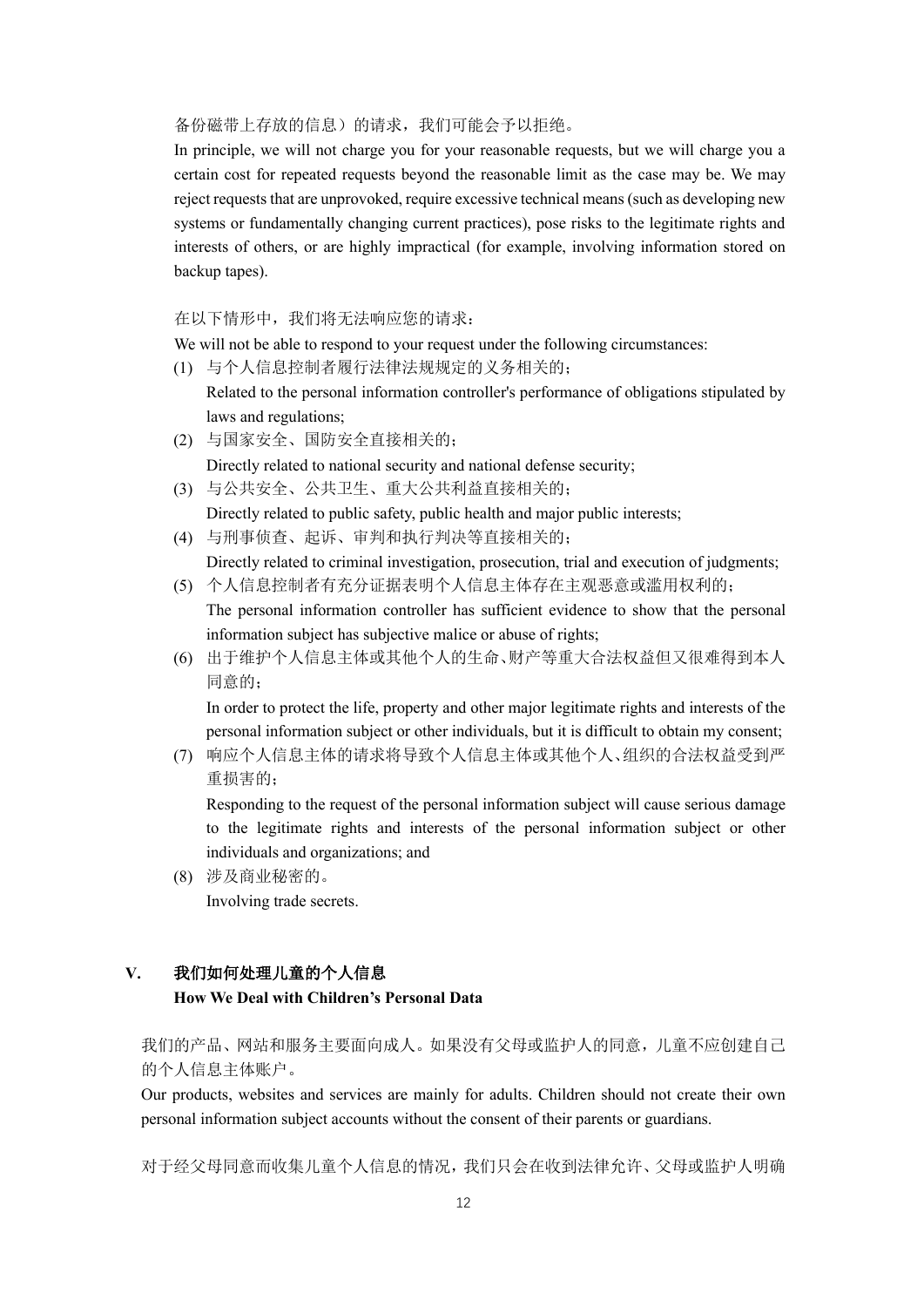#### 备份磁带上存放的信息)的请求,我们可能会予以拒绝。

In principle, we will not charge you for your reasonable requests, but we will charge you a certain cost for repeated requests beyond the reasonable limit as the case may be. We may reject requests that are unprovoked, require excessive technical means (such as developing new systems or fundamentally changing current practices), pose risks to the legitimate rights and interests of others, or are highly impractical (for example, involving information stored on backup tapes).

在以下情形中,我们将无法响应您的请求:

We will not be able to respond to your request under the following circumstances:

(1) 与个人信息控制者履行法律法规规定的义务相关的;

Related to the personal information controller's performance of obligations stipulated by laws and regulations;

- (2) 与国家安全、国防安全直接相关的; Directly related to national security and national defense security;
- (3) 与公共安全、公共卫生、重大公共利益直接相关的; Directly related to public safety, public health and major public interests;
- (4) 与刑事侦查、起诉、审判和执行判决等直接相关的; Directly related to criminal investigation, prosecution, trial and execution of judgments;
- (5) 个人信息控制者有充分证据表明个人信息主体存在主观恶意或滥用权利的; The personal information controller has sufficient evidence to show that the personal

information subject has subjective malice or abuse of rights;

(6) 出于维护个人信息主体或其他个人的生命、财产等重大合法权益但又很难得到本人 同意的;

In order to protect the life, property and other major legitimate rights and interests of the personal information subject or other individuals, but it is difficult to obtain my consent;

(7) 响应个人信息主体的请求将导致个人信息主体或其他个人、组织的合法权益受到严 重损害的;

Responding to the request of the personal information subject will cause serious damage to the legitimate rights and interests of the personal information subject or other individuals and organizations; and

(8) 涉及商业秘密的。 Involving trade secrets.

## **V.** 我们如何处理儿童的个人信息

### **How We Deal with Children's Personal Data**

我们的产品、网站和服务主要面向成人。如果没有父母或监护人的同意,儿童不应创建自己 的个人信息主体账户。

Our products, websites and services are mainly for adults. Children should not create their own personal information subject accounts without the consent of their parents or guardians.

对于经父母同意而收集儿童个人信息的情况,我们只会在收到法律允许、父母或监护人明确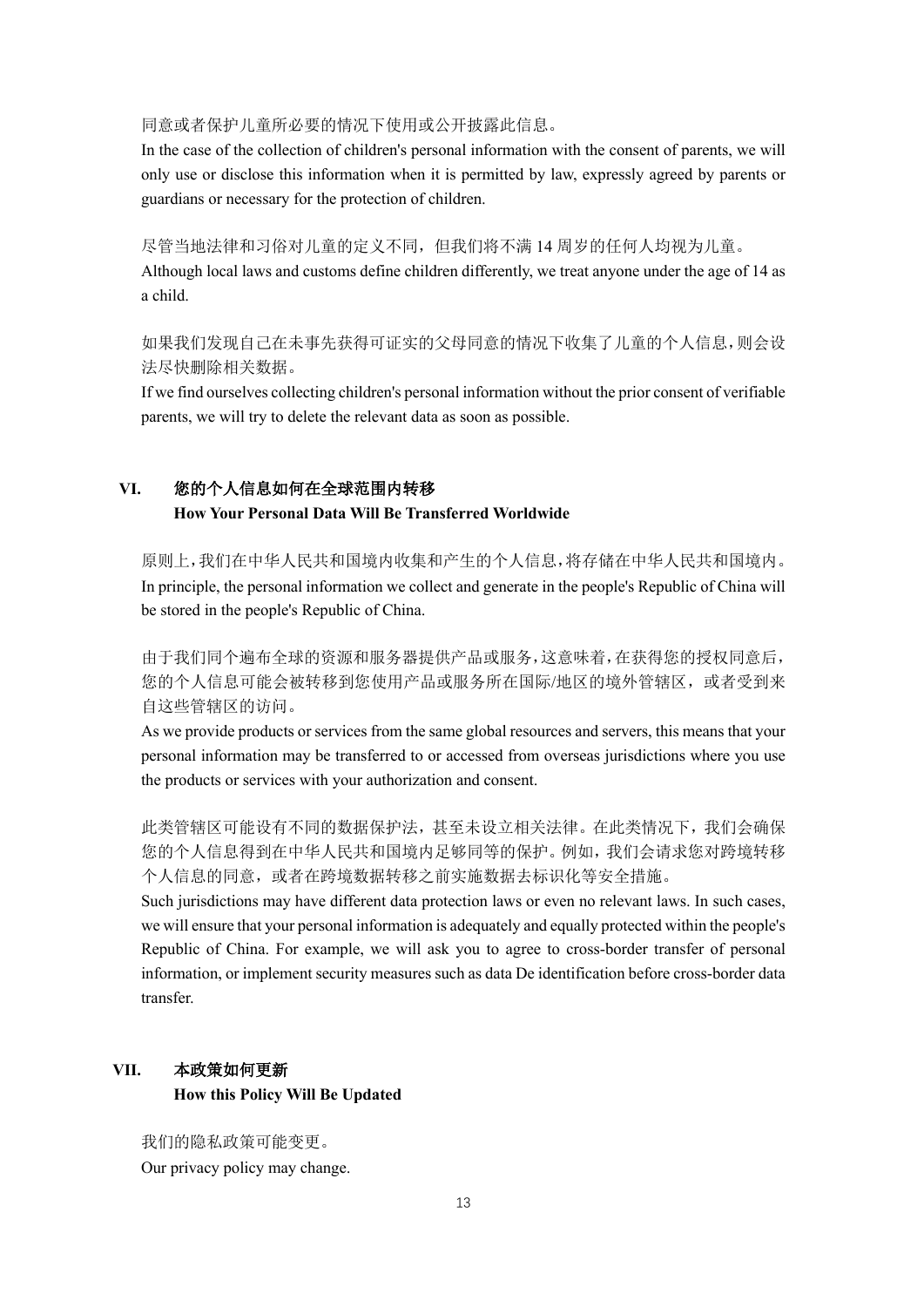同意或者保护儿童所必要的情况下使用或公开披露此信息。

In the case of the collection of children's personal information with the consent of parents, we will only use or disclose this information when it is permitted by law, expressly agreed by parents or guardians or necessary for the protection of children.

尽管当地法律和习俗对儿童的定义不同,但我们将不满 14 周岁的任何人均视为儿童。

Although local laws and customs define children differently, we treat anyone under the age of 14 as a child.

如果我们发现自己在未事先获得可证实的父母同意的情况下收集了儿童的个人信息,则会设 法尽快删除相关数据。

If we find ourselves collecting children's personal information without the prior consent of verifiable parents, we will try to delete the relevant data as soon as possible.

### **VI.** 您的个人信息如何在全球范围内转移 **How Your Personal Data Will Be Transferred Worldwide**

原则上,我们在中华人民共和国境内收集和产生的个人信息,将存储在中华人民共和国境内。 In principle, the personal information we collect and generate in the people's Republic of China will be stored in the people's Republic of China.

由于我们同个遍布全球的资源和服务器提供产品或服务,这意味着,在获得您的授权同意后, 您的个人信息可能会被转移到您使用产品或服务所在国际/地区的境外管辖区,或者受到来 自这些管辖区的访问。

As we provide products or services from the same global resources and servers, this means that your personal information may be transferred to or accessed from overseas jurisdictions where you use the products or services with your authorization and consent.

此类管辖区可能设有不同的数据保护法,甚至未设立相关法律。在此类情况下,我们会确保 您的个人信息得到在中华人民共和国境内足够同等的保护。例如,我们会请求您对跨境转移 个人信息的同意,或者在跨境数据转移之前实施数据去标识化等安全措施。

Such jurisdictions may have different data protection laws or even no relevant laws. In such cases, we will ensure that your personal information is adequately and equally protected within the people's Republic of China. For example, we will ask you to agree to cross-border transfer of personal information, or implement security measures such as data De identification before cross-border data transfer.

## **VII.** 本政策如何更新 **How this Policy Will Be Updated**

我们的隐私政策可能变更。 Our privacy policy may change.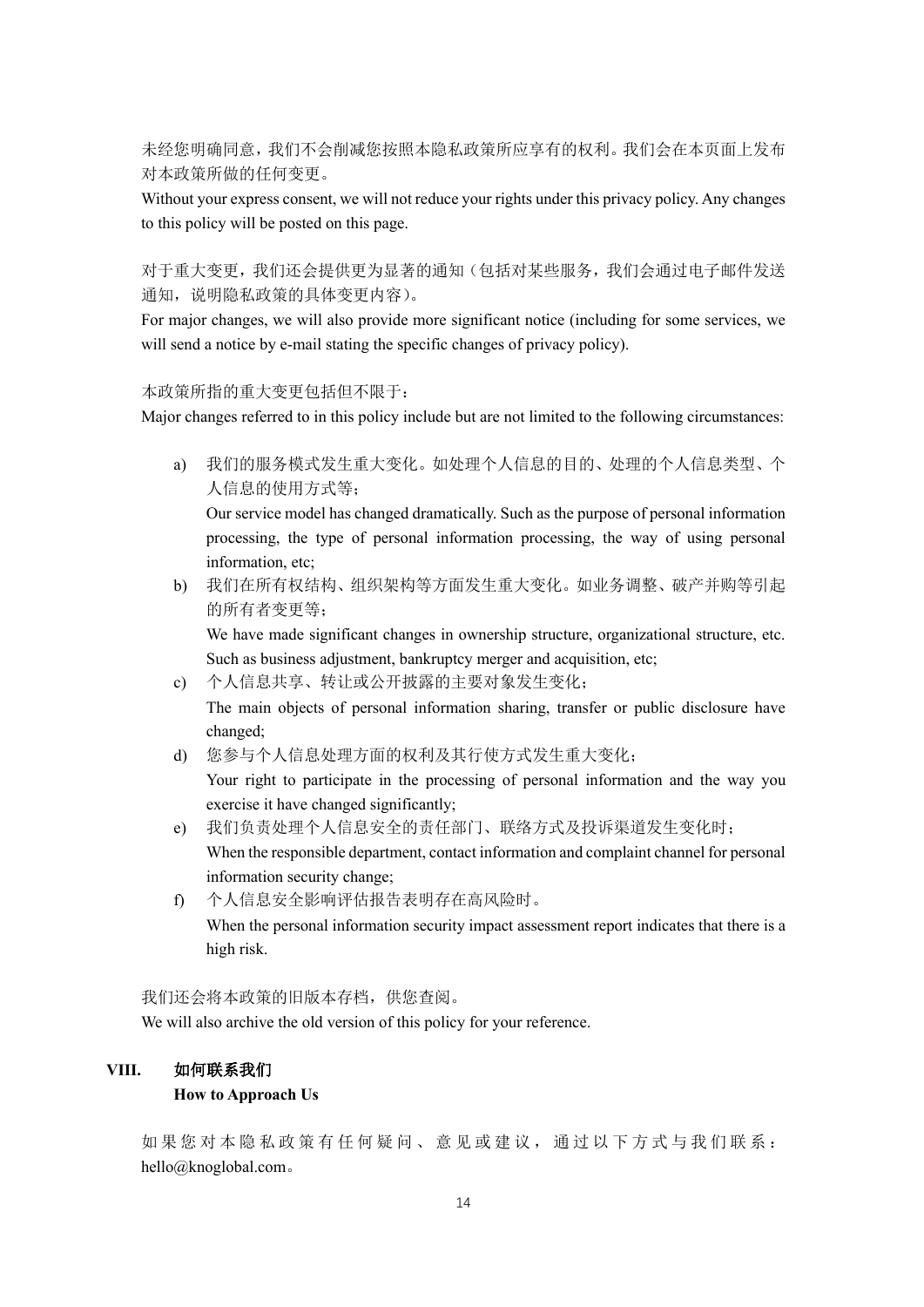未经您明确同意,我们不会削减您按照本隐私政策所应享有的权利。我们会在本页面上发布 对本政策所做的任何变更。

Without your express consent, we will not reduce your rights under this privacy policy. Any changes to this policy will be posted on this page.

对于重大变更,我们还会提供更为显著的通知(包括对某些服务,我们会通过电子邮件发送 通知,说明隐私政策的具体变更内容)。

For major changes, we will also provide more significant notice (including for some services, we will send a notice by e-mail stating the specific changes of privacy policy).

#### 本政策所指的重大变更包括但不限于:

Major changes referred to in this policy include but are not limited to the following circumstances:

a) 我们的服务模式发生重大变化。如处理个人信息的目的、处理的个人信息类型、个 人信息的使用方式等;

Our service model has changed dramatically. Such as the purpose of personal information processing, the type of personal information processing, the way of using personal information, etc;

b) 我们在所有权结构、组织架构等方面发生重大变化。如业务调整、破产并购等引起 的所有者变更等;

We have made significant changes in ownership structure, organizational structure, etc. Such as business adjustment, bankruptcy merger and acquisition, etc;

- c) 个人信息共享、转让或公开披露的主要对象发生变化; The main objects of personal information sharing, transfer or public disclosure have changed;
- d) 您参与个人信息处理方面的权利及其行使方式发生重大变化; Your right to participate in the processing of personal information and the way you exercise it have changed significantly;
- e) 我们负责处理个人信息安全的责任部门、联络方式及投诉渠道发生变化时; When the responsible department, contact information and complaint channel for personal information security change;
- f) 个人信息安全影响评估报告表明存在高风险时。 When the personal information security impact assessment report indicates that there is a high risk.

我们还会将本政策的旧版本存档,供您查阅。

We will also archive the old version of this policy for your reference.

### **VIII.** 如何联系我们

#### **How to Approach Us**

如果您对本隐私政策有任何疑问、意见或建议,通过以下方式与我们联系: hello@knoglobal.com。